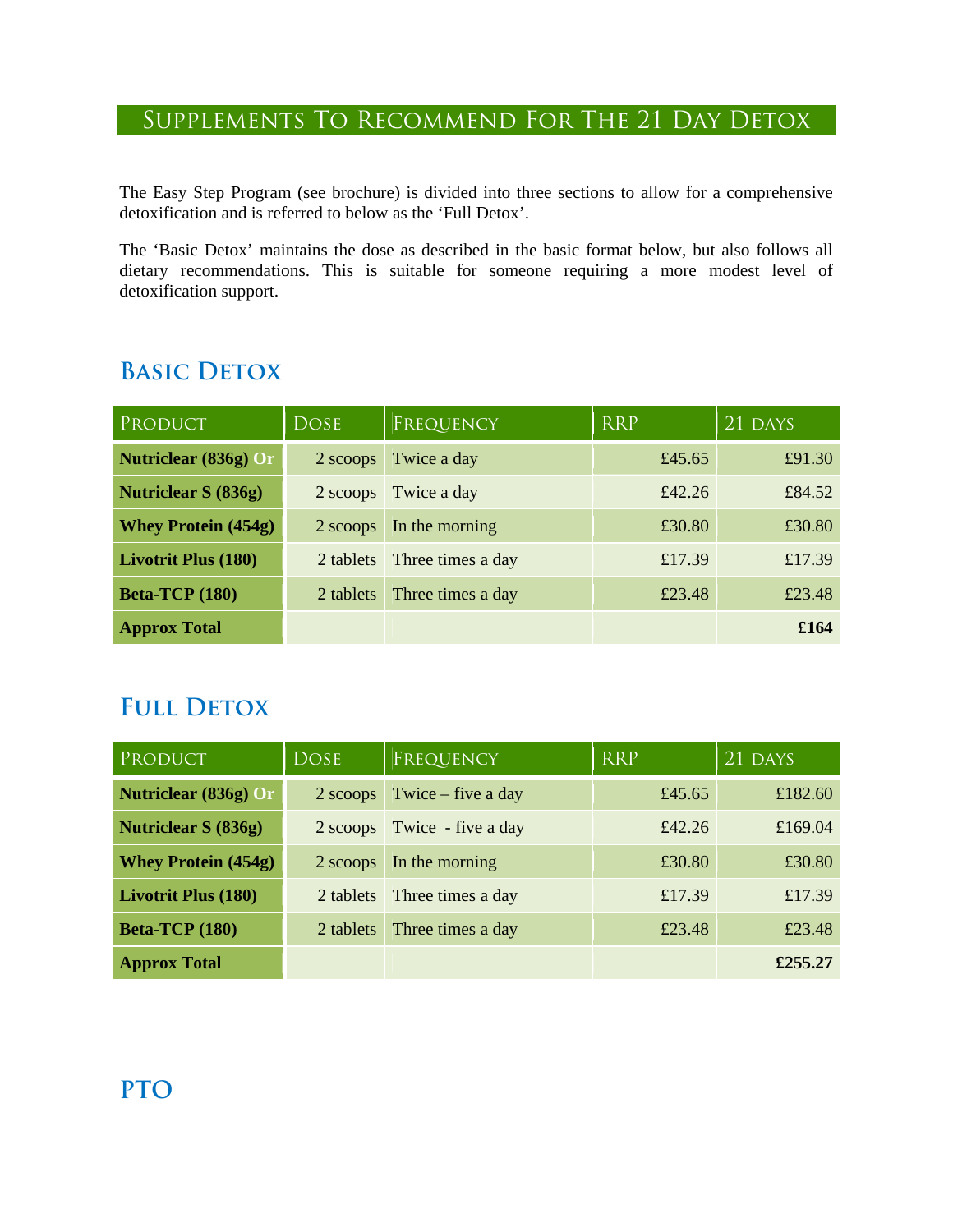#### Supplements To Recommend For The 21 Day Detox

The Easy Step Program (see brochure) is divided into three sections to allow for a comprehensive detoxification and is referred to below as the 'Full Detox'.

The 'Basic Detox' maintains the dose as described in the basic format below, but also follows all dietary recommendations. This is suitable for someone requiring a more modest level of detoxification support.

### **BASIC DETOX**

| PRODUCT                    | <b>DOSE</b> | FREQUENCY         | <b>RRP</b> | 21 DAYS |
|----------------------------|-------------|-------------------|------------|---------|
| Nutriclear (836g) Or       | 2 scoops    | Twice a day       | £45.65     | £91.30  |
| <b>Nutriclear S (836g)</b> | 2 scoops    | Twice a day       | £42.26     | £84.52  |
| <b>Whey Protein (454g)</b> | 2 scoops    | In the morning    | £30.80     | £30.80  |
| <b>Livotrit Plus (180)</b> | 2 tablets   | Three times a day | £17.39     | £17.39  |
| <b>Beta-TCP</b> (180)      | 2 tablets   | Three times a day | £23.48     | £23.48  |
| <b>Approx Total</b>        |             |                   |            | £164    |

### **FULL DETOX**

| PRODUCT                    | <b>DOSE</b> | FREQUENCY            | <b>RRP</b> | 21 DAYS |
|----------------------------|-------------|----------------------|------------|---------|
| Nutriclear (836g) Or       | $2$ scoops  | Twice $-$ five a day | £45.65     | £182.60 |
| <b>Nutriclear S (836g)</b> | 2 scoops    | Twice - five a day   | £42.26     | £169.04 |
| <b>Whey Protein (454g)</b> | 2 scoops    | In the morning       | £30.80     | £30.80  |
| <b>Livotrit Plus (180)</b> | 2 tablets   | Three times a day    | £17.39     | £17.39  |
| <b>Beta-TCP</b> (180)      | 2 tablets   | Three times a day    | £23.48     | £23.48  |
| <b>Approx Total</b>        |             |                      |            | £255.27 |

### **PTO**